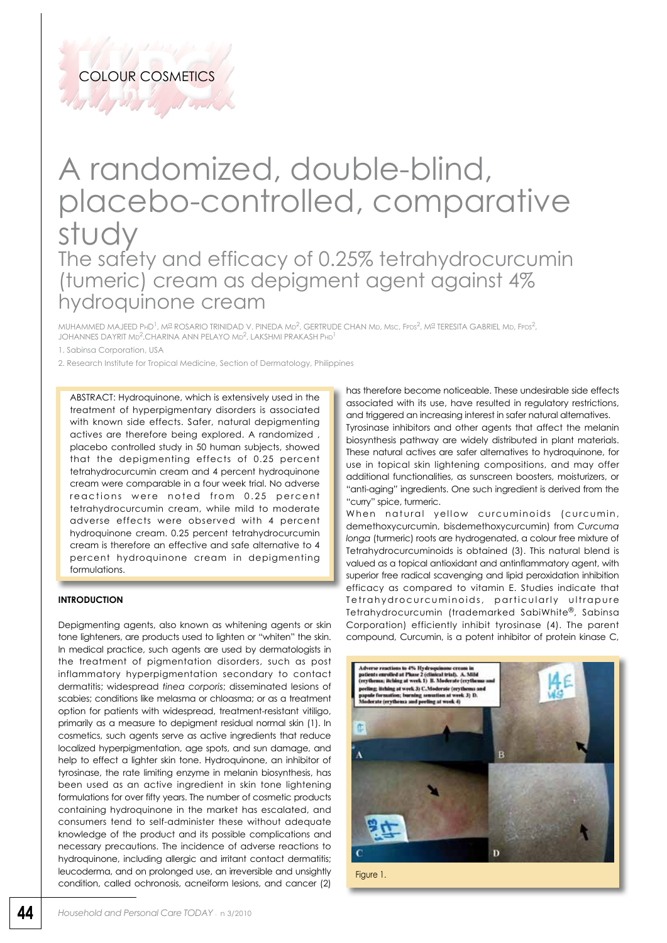Till Article

## A randomized, double-blind, placebo-controlled, comparative study The safety and efficacy of 0.25% tetrahydrocurcumin (tumeric) cream as depigment agent against 4% hydroquinone cream

MUHAMMED MAJEED PHD<sup>1</sup>, Mº ROSARIO TRINIDAD V. PINEDA MD<sup>2</sup>, GERTRUDE CHAN MD, Msc, FPDS<sup>2</sup>, Mº TERESITA GABRIEL MD, FPDS<sup>2</sup>, JOHANNES DAYRIT MD<sup>2</sup>,CHARINA ANN PELAYO MD<sup>2</sup>, LAKSHMI PRAKASH PHD<sup>1</sup>

1. Sabinsa Corporation, USA

2. Research Institute for Tropical Medicine, Section of Dermatology, Philippines

ABSTRACT: Hydroquinone, which is extensively used in the treatment of hyperpigmentary disorders is associated with known side effects. Safer, natural depigmenting actives are therefore being explored. A randomized , placebo controlled study in 50 human subjects, showed that the depigmenting effects of 0.25 percent tetrahydrocurcumin cream and 4 percent hydroquinone cream were comparable in a four week trial. No adverse reactions were noted from 0.25 percent tetrahydrocurcumin cream, while mild to moderate adverse effects were observed with 4 percent hydroquinone cream. 0.25 percent tetrahydrocurcumin cream is therefore an effective and safe alternative to 4 percent hydroquinone cream in depigmenting formulations.

## **Introduction**

Depigmenting agents, also known as whitening agents or skin tone lighteners, are products used to lighten or "whiten" the skin. In medical practice, such agents are used by dermatologists in the treatment of pigmentation disorders, such as post inflammatory hyperpigmentation secondary to contact dermatitis; widespread *tinea corporis*; disseminated lesions of scabies; conditions like melasma or chloasma; or as a treatment option for patients with widespread, treatment-resistant vitiligo, primarily as a measure to depigment residual normal skin (1). In cosmetics, such agents serve as active ingredients that reduce localized hyperpigmentation, age spots, and sun damage, and help to effect a lighter skin tone. Hydroquinone, an inhibitor of tyrosinase, the rate limiting enzyme in melanin biosynthesis, has been used as an active ingredient in skin tone lightening formulations for over fifty years. The number of cosmetic products containing hydroquinone in the market has escalated, and consumers tend to self-administer these without adequate knowledge of the product and its possible complications and necessary precautions. The incidence of adverse reactions to hydroquinone, including allergic and irritant contact dermatitis; leucoderma, and on prolonged use, an irreversible and unsightly condition, called ochronosis, acneiform lesions, and cancer (2)

has therefore become noticeable. These undesirable side effects associated with its use, have resulted in regulatory restrictions, and triggered an increasing interest in safer natural alternatives. Tyrosinase inhibitors and other agents that affect the melanin

biosynthesis pathway are widely distributed in plant materials. These natural actives are safer alternatives to hydroquinone, for use in topical skin lightening compositions, and may offer additional functionalities, as sunscreen boosters, moisturizers, or "anti-aging" ingredients. One such ingredient is derived from the "curry" spice, turmeric.

When natural yellow curcuminoids (curcumin, demethoxycurcumin, bisdemethoxycurcumin) from *Curcuma longa* (turmeric) roots are hydrogenated, a colour free mixture of Tetrahydrocurcuminoids is obtained (3). This natural blend is valued as a topical antioxidant and antinflammatory agent, with superior free radical scavenging and lipid peroxidation inhibition efficacy as compared to vitamin E. Studies indicate that Tetrahydrocurcuminoids, particularly ultrapure Tetrahydrocurcumin (trademarked SabiWhite®, Sabinsa Corporation) efficiently inhibit tyrosinase (4). The parent compound, Curcumin, is a potent inhibitor of protein kinase C,